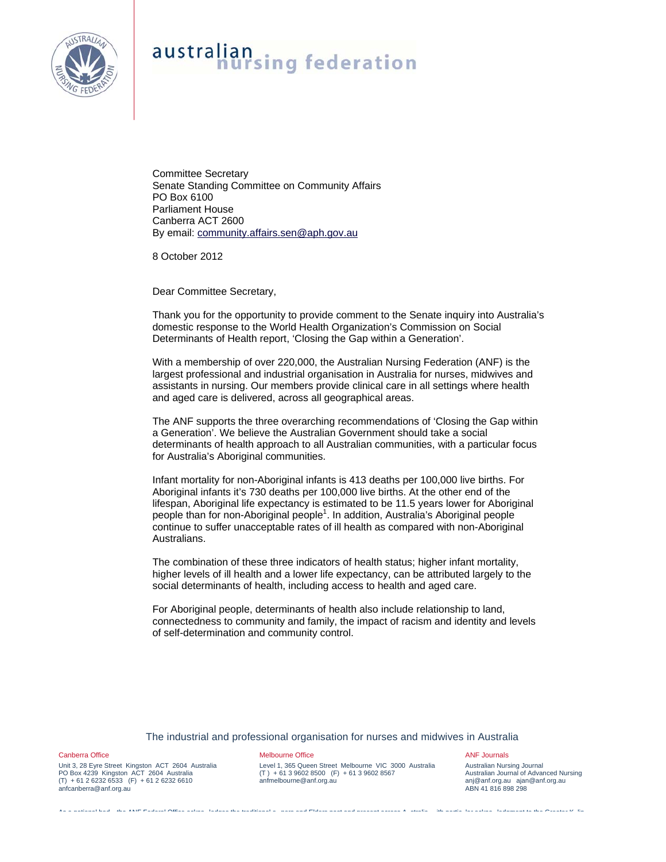

Committee Secretary Senate Standing Committee on Community Affairs PO Box 6100 Parliament House Canberra ACT 2600 By email: community.affairs.sen@aph.gov.au

8 October 2012

Dear Committee Secretary,

Thank you for the opportunity to provide comment to the Senate inquiry into Australia's domestic response to the World Health Organization's Commission on Social Determinants of Health report, 'Closing the Gap within a Generation'.

With a membership of over 220,000, the Australian Nursing Federation (ANF) is the largest professional and industrial organisation in Australia for nurses, midwives and assistants in nursing. Our members provide clinical care in all settings where health and aged care is delivered, across all geographical areas.

The ANF supports the three overarching recommendations of 'Closing the Gap within a Generation'. We believe the Australian Government should take a social determinants of health approach to all Australian communities, with a particular focus for Australia's Aboriginal communities.

Infant mortality for non-Aboriginal infants is 413 deaths per 100,000 live births. For Aboriginal infants it's 730 deaths per 100,000 live births. At the other end of the lifespan, Aboriginal life expectancy is estimated to be 11.5 years lower for Aboriginal people than for non-Aboriginal people<sup>1</sup>. In addition, Australia's Aboriginal people continue to suffer unacceptable rates of ill health as compared with non-Aboriginal Australians.

The combination of these three indicators of health status; higher infant mortality, higher levels of ill health and a lower life expectancy, can be attributed largely to the social determinants of health, including access to health and aged care.

For Aboriginal people, determinants of health also include relationship to land, connectedness to community and family, the impact of racism and identity and levels of self-determination and community control.

## The industrial and professional organisation for nurses and midwives in Australia

As a national bod the ANF Federal Office ackno ledges the traditional o ners and Elders past and present across A stralia ith partic lar ackno ledgment to the Greater K lin

Canberra Office

Unit 3, 28 Eyre Street Kingston ACT 2604 Australia PO Box 4239 Kingston ACT 2604 Australia  $(T) + 61 2 6232 6533 (F) + 61 2 6232 6610$ anfcanberra@anf.org.au

## Melbourne Office

Level 1, 365 Queen Street Melbourne VIC 3000 Australia (T ) + 61 3 9602 8500 (F) + 61 3 9602 8567 anfmelbourne@anf.org.au

#### ANF Journals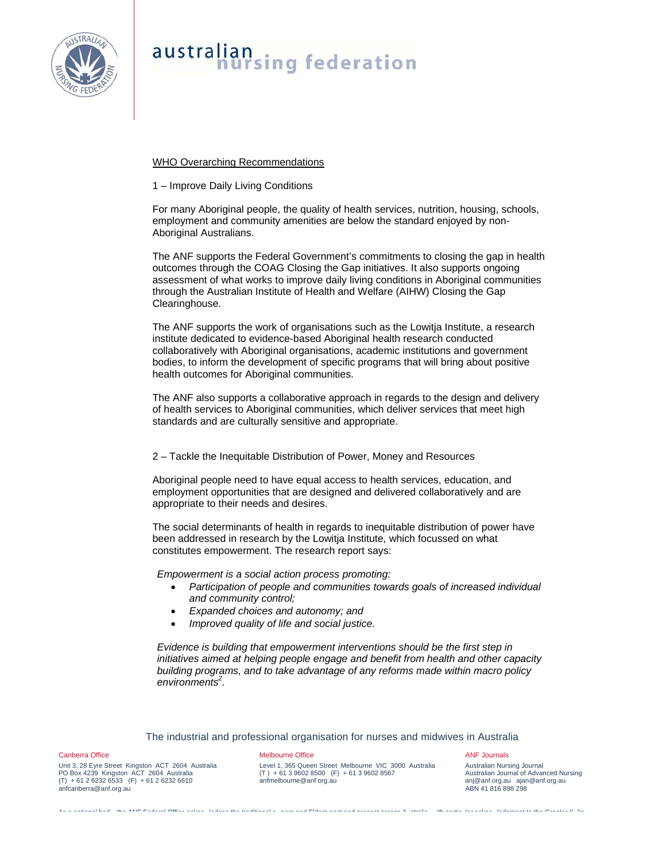

# WHO Overarching Recommendations

# 1 – Improve Daily Living Conditions

For many Aboriginal people, the quality of health services, nutrition, housing, schools, employment and community amenities are below the standard enjoyed by non-Aboriginal Australians.

The ANF supports the Federal Government's commitments to closing the gap in health outcomes through the COAG Closing the Gap initiatives. It also supports ongoing assessment of what works to improve daily living conditions in Aboriginal communities through the Australian Institute of Health and Welfare (AIHW) Closing the Gap Clearinghouse.

The ANF supports the work of organisations such as the Lowitja Institute, a research institute dedicated to evidence-based Aboriginal health research conducted collaboratively with Aboriginal organisations, academic institutions and government bodies, to inform the development of specific programs that will bring about positive health outcomes for Aboriginal communities.

The ANF also supports a collaborative approach in regards to the design and delivery of health services to Aboriginal communities, which deliver services that meet high standards and are culturally sensitive and appropriate.

## 2 – Tackle the Inequitable Distribution of Power, Money and Resources

Aboriginal people need to have equal access to health services, education, and employment opportunities that are designed and delivered collaboratively and are appropriate to their needs and desires.

The social determinants of health in regards to inequitable distribution of power have been addressed in research by the Lowitja Institute, which focussed on what constitutes empowerment. The research report says:

*Empowerment is a social action process promoting:* 

- *Participation of people and communities towards goals of increased individual and community control;*
- *Expanded choices and autonomy; and*
- *Improved quality of life and social justice.*

*Evidence is building that empowerment interventions should be the first step in initiatives aimed at helping people engage and benefit from health and other capacity building programs, and to take advantage of any reforms made within macro policy environments2 .*

## The industrial and professional organisation for nurses and midwives in Australia

As a national bod the ANF Federal Office ackno ledges the traditional o ners and Elders past and present across A stralia ith partic lar ackno ledgment to the Greater K lin

### Canberra Office

Unit 3, 28 Eyre Street Kingston ACT 2604 Australia PO Box 4239 Kingston ACT 2604 Australia  $(T) + 61 2 6232 6533 (F) + 61 2 6232 6610$ anfcanberra@anf.org.au

## Melbourne Office

Level 1, 365 Queen Street Melbourne VIC 3000 Australia (T ) + 61 3 9602 8500 (F) + 61 3 9602 8567 anfmelbourne@anf.org.au

#### ANF Journals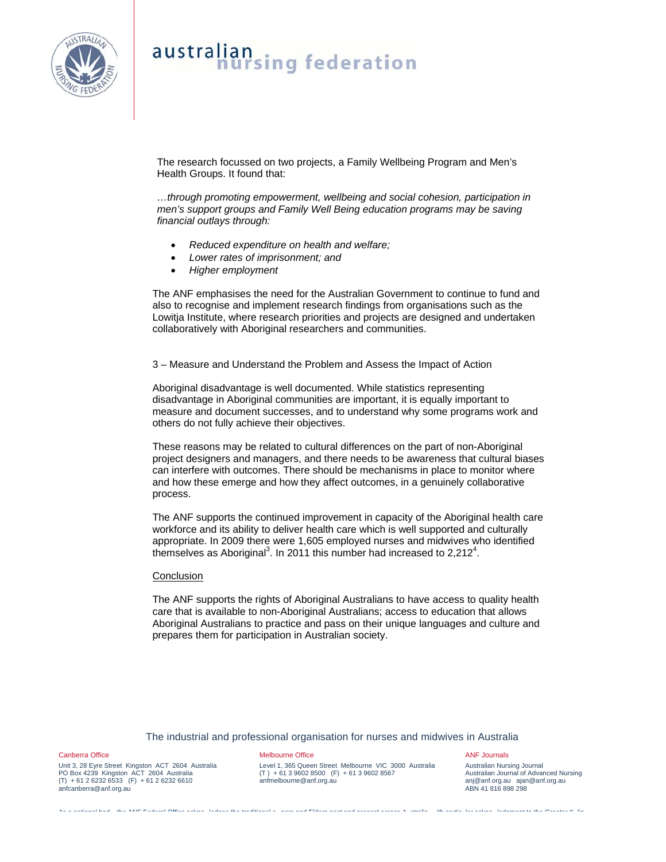

The research focussed on two projects, a Family Wellbeing Program and Men's Health Groups. It found that:

*…through promoting empowerment, wellbeing and social cohesion, participation in men's support groups and Family Well Being education programs may be saving financial outlays through:* 

- *Reduced expenditure on health and welfare;*
- *Lower rates of imprisonment; and*
- *Higher employment*

The ANF emphasises the need for the Australian Government to continue to fund and also to recognise and implement research findings from organisations such as the Lowitja Institute, where research priorities and projects are designed and undertaken collaboratively with Aboriginal researchers and communities.

3 – Measure and Understand the Problem and Assess the Impact of Action

Aboriginal disadvantage is well documented. While statistics representing disadvantage in Aboriginal communities are important, it is equally important to measure and document successes, and to understand why some programs work and others do not fully achieve their objectives.

These reasons may be related to cultural differences on the part of non-Aboriginal project designers and managers, and there needs to be awareness that cultural biases can interfere with outcomes. There should be mechanisms in place to monitor where and how these emerge and how they affect outcomes, in a genuinely collaborative process.

The ANF supports the continued improvement in capacity of the Aboriginal health care workforce and its ability to deliver health care which is well supported and culturally appropriate. In 2009 there were 1,605 employed nurses and midwives who identified themselves as Aboriginal<sup>3</sup>. In 2011 this number had increased to 2,212<sup>4</sup>.

## Conclusion

The ANF supports the rights of Aboriginal Australians to have access to quality health care that is available to non-Aboriginal Australians; access to education that allows Aboriginal Australians to practice and pass on their unique languages and culture and prepares them for participation in Australian society.

## The industrial and professional organisation for nurses and midwives in Australia

As a national bod the ANF Federal Office ackno ledges the traditional o ners and Elders past and present across A stralia ith partic lar ackno ledgment to the Greater K lin

Canberra Office

Unit 3, 28 Eyre Street Kingston ACT 2604 Australia PO Box 4239 Kingston ACT 2604 Australia  $(T) + 61 2 6232 6533 (F) + 61 2 6232 6610$ anfcanberra@anf.org.au

## Melbourne Office

Level 1, 365 Queen Street Melbourne VIC 3000 Australia (T ) + 61 3 9602 8500 (F) + 61 3 9602 8567 anfmelbourne@anf.org.au

### ANF Journals